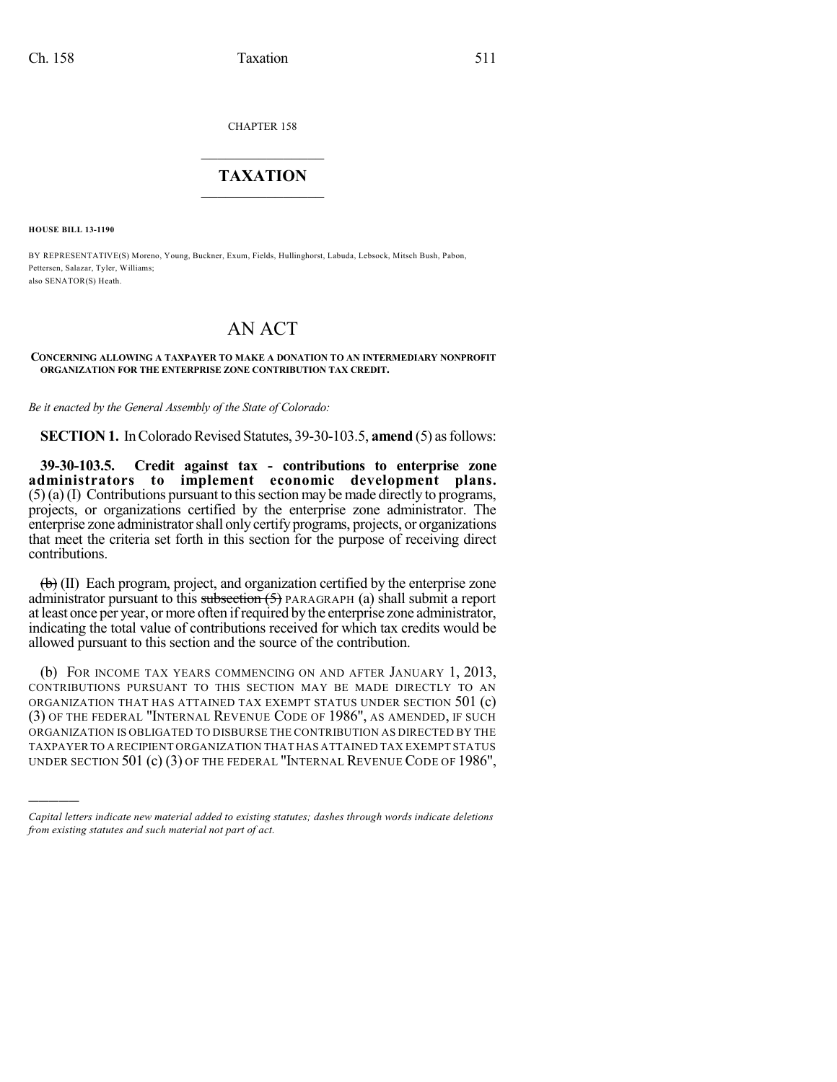CHAPTER 158

## $\mathcal{L}_\text{max}$  . The set of the set of the set of the set of the set of the set of the set of the set of the set of the set of the set of the set of the set of the set of the set of the set of the set of the set of the set **TAXATION**  $\_$

**HOUSE BILL 13-1190**

)))))

BY REPRESENTATIVE(S) Moreno, Young, Buckner, Exum, Fields, Hullinghorst, Labuda, Lebsock, Mitsch Bush, Pabon, Pettersen, Salazar, Tyler, Williams; also SENATOR(S) Heath.

## AN ACT

## **CONCERNING ALLOWING A TAXPAYER TO MAKE A DONATION TO AN INTERMEDIARY NONPROFIT ORGANIZATION FOR THE ENTERPRISE ZONE CONTRIBUTION TAX CREDIT.**

*Be it enacted by the General Assembly of the State of Colorado:*

**SECTION 1.** In Colorado Revised Statutes, 39-30-103.5, **amend** (5) as follows:

**39-30-103.5. Credit against tax - contributions to enterprise zone administrators to implement economic development plans.**  $(5)$  (a) (I) Contributions pursuant to this section may be made directly to programs, projects, or organizations certified by the enterprise zone administrator. The enterprise zone administrator shall only certify programs, projects, or organizations that meet the criteria set forth in this section for the purpose of receiving direct contributions.

 $\left(\mathbf{b}\right)$  (II) Each program, project, and organization certified by the enterprise zone administrator pursuant to this subsection  $(5)$  PARAGRAPH (a) shall submit a report at least once per year, ormore often ifrequired bythe enterprise zone administrator, indicating the total value of contributions received for which tax credits would be allowed pursuant to this section and the source of the contribution.

(b) FOR INCOME TAX YEARS COMMENCING ON AND AFTER JANUARY 1, 2013, CONTRIBUTIONS PURSUANT TO THIS SECTION MAY BE MADE DIRECTLY TO AN ORGANIZATION THAT HAS ATTAINED TAX EXEMPT STATUS UNDER SECTION 501 (c) (3) OF THE FEDERAL "INTERNAL REVENUE CODE OF 1986", AS AMENDED, IF SUCH ORGANIZATION IS OBLIGATED TO DISBURSE THE CONTRIBUTION AS DIRECTED BY THE TAXPAYER TO A RECIPIENT ORGANIZATION THAT HAS ATTAINED TAX EXEMPT STATUS UNDER SECTION 501 (c) (3) OF THE FEDERAL "INTERNAL REVENUE CODE OF 1986",

*Capital letters indicate new material added to existing statutes; dashes through words indicate deletions from existing statutes and such material not part of act.*